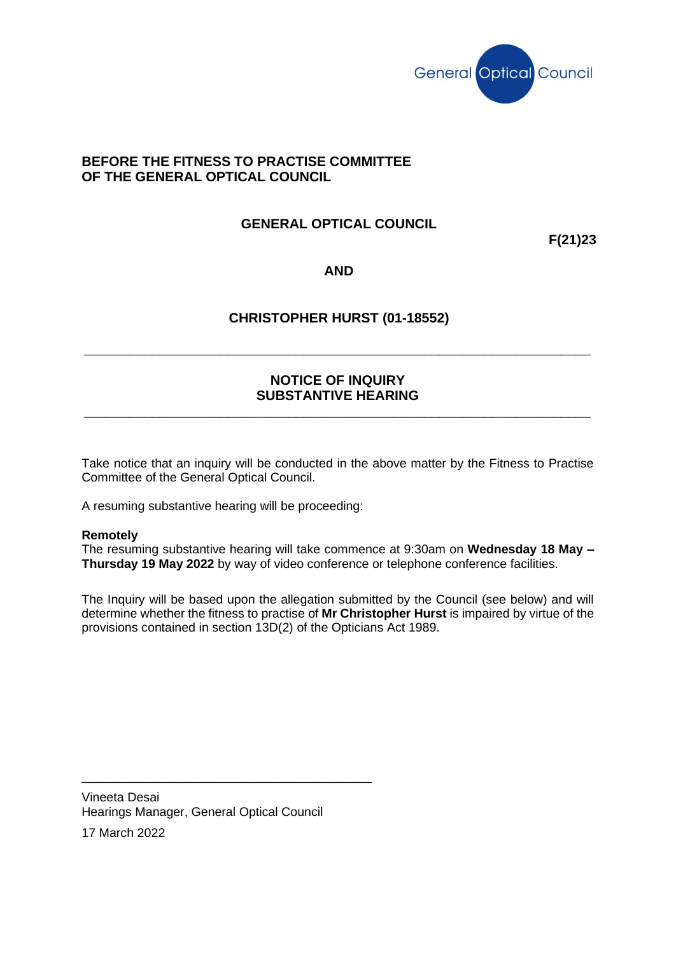

#### **BEFORE THE FITNESS TO PRACTISE COMMITTEE OF THE GENERAL OPTICAL COUNCIL**

# **GENERAL OPTICAL COUNCIL**

**F(21)23**

#### **AND**

## **CHRISTOPHER HURST (01-18552)**

**\_\_\_\_\_\_\_\_\_\_\_\_\_\_\_\_\_\_\_\_\_\_\_\_\_\_\_\_\_\_\_\_\_\_\_\_\_\_\_\_\_\_\_\_\_\_\_\_\_\_\_\_\_\_\_\_\_\_\_\_\_\_\_\_\_\_\_**

## **NOTICE OF INQUIRY SUBSTANTIVE HEARING**

**\_\_\_\_\_\_\_\_\_\_\_\_\_\_\_\_\_\_\_\_\_\_\_\_\_\_\_\_\_\_\_\_\_\_\_\_\_\_\_\_\_\_\_\_\_\_\_\_\_\_\_\_\_\_\_\_\_\_\_\_\_\_\_\_\_\_\_**

Take notice that an inquiry will be conducted in the above matter by the Fitness to Practise Committee of the General Optical Council.

A resuming substantive hearing will be proceeding:

#### **Remotely**

The resuming substantive hearing will take commence at 9:30am on **Wednesday 18 May – Thursday 19 May 2022** by way of video conference or telephone conference facilities.

The Inquiry will be based upon the allegation submitted by the Council (see below) and will determine whether the fitness to practise of **Mr Christopher Hurst** is impaired by virtue of the provisions contained in section 13D(2) of the Opticians Act 1989.

Vineeta Desai Hearings Manager, General Optical Council

\_\_\_\_\_\_\_\_\_\_\_\_\_\_\_\_\_\_\_\_\_\_\_\_\_\_\_\_\_\_\_\_\_\_\_\_\_\_\_\_

17 March 2022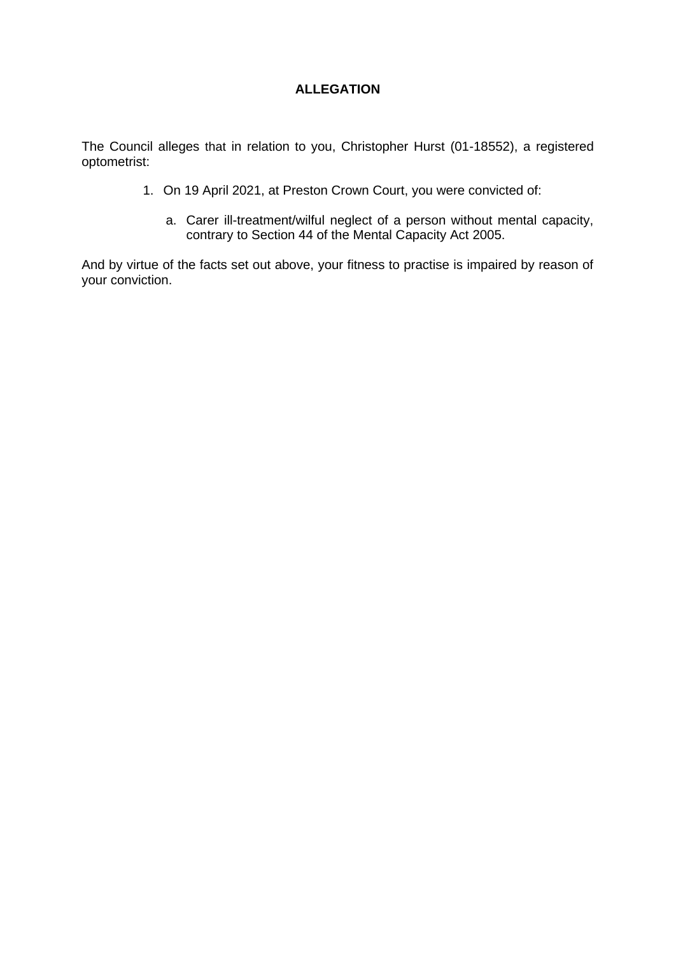# **ALLEGATION**

The Council alleges that in relation to you, Christopher Hurst (01-18552), a registered optometrist:

- 1. On 19 April 2021, at Preston Crown Court, you were convicted of:
	- a. Carer ill-treatment/wilful neglect of a person without mental capacity, contrary to Section 44 of the Mental Capacity Act 2005.

And by virtue of the facts set out above, your fitness to practise is impaired by reason of your conviction.